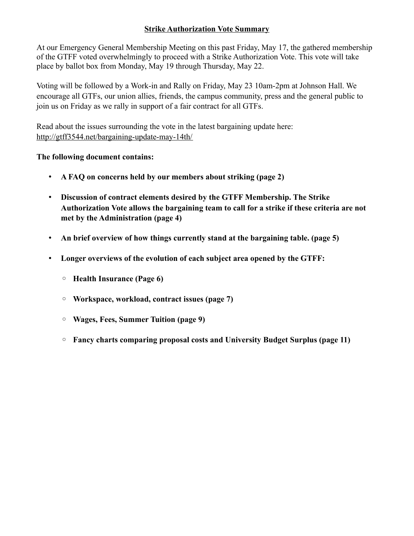## **Strike Authorization Vote Summary**

At our Emergency General Membership Meeting on this past Friday, May 17, the gathered membership of the GTFF voted overwhelmingly to proceed with a Strike Authorization Vote. This vote will take place by ballot box from Monday, May 19 through Thursday, May 22.

Voting will be followed by a Work-in and Rally on Friday, May 23 10am-2pm at Johnson Hall. We encourage all GTFs, our union allies, friends, the campus community, press and the general public to join us on Friday as we rally in support of a fair contract for all GTFs.

Read about the issues surrounding the vote in the latest bargaining update here: <http://gtff3544.net/bargaining-update-may-14th/>

## **The following document contains:**

- **A FAQ on concerns held by our members about striking (page 2)**
- **Discussion of contract elements desired by the GTFF Membership. The Strike Authorization Vote allows the bargaining team to call for a strike if these criteria are not met by the Administration (page 4)**
- **An brief overview of how things currently stand at the bargaining table. (page 5)**
- **Longer overviews of the evolution of each subject area opened by the GTFF:**
	- **Health Insurance (Page 6)**
	- **Workspace, workload, contract issues (page 7)**
	- **Wages, Fees, Summer Tuition (page 9)**
	- **Fancy charts comparing proposal costs and University Budget Surplus (page 11)**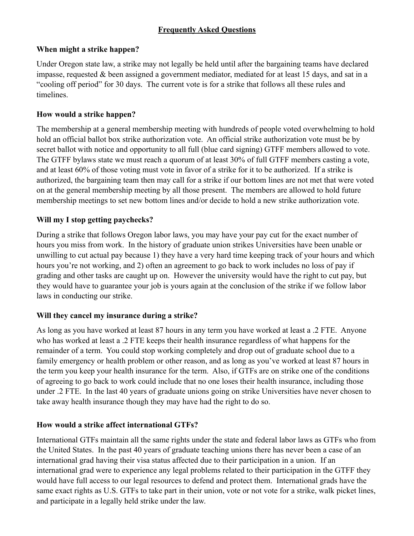# **Frequently Asked Questions**

## **When might a strike happen?**

Under Oregon state law, a strike may not legally be held until after the bargaining teams have declared impasse, requested & been assigned a government mediator, mediated for at least 15 days, and sat in a "cooling off period" for 30 days. The current vote is for a strike that follows all these rules and timelines.

# **How would a strike happen?**

The membership at a general membership meeting with hundreds of people voted overwhelming to hold hold an official ballot box strike authorization vote. An official strike authorization vote must be by secret ballot with notice and opportunity to all full (blue card signing) GTFF members allowed to vote. The GTFF bylaws state we must reach a quorum of at least 30% of full GTFF members casting a vote, and at least 60% of those voting must vote in favor of a strike for it to be authorized. If a strike is authorized, the bargaining team then may call for a strike if our bottom lines are not met that were voted on at the general membership meeting by all those present. The members are allowed to hold future membership meetings to set new bottom lines and/or decide to hold a new strike authorization vote.

## **Will my I stop getting paychecks?**

During a strike that follows Oregon labor laws, you may have your pay cut for the exact number of hours you miss from work. In the history of graduate union strikes Universities have been unable or unwilling to cut actual pay because 1) they have a very hard time keeping track of your hours and which hours you're not working, and 2) often an agreement to go back to work includes no loss of pay if grading and other tasks are caught up on. However the university would have the right to cut pay, but they would have to guarantee your job is yours again at the conclusion of the strike if we follow labor laws in conducting our strike.

# **Will they cancel my insurance during a strike?**

As long as you have worked at least 87 hours in any term you have worked at least a .2 FTE. Anyone who has worked at least a .2 FTE keeps their health insurance regardless of what happens for the remainder of a term. You could stop working completely and drop out of graduate school due to a family emergency or health problem or other reason, and as long as you've worked at least 87 hours in the term you keep your health insurance for the term. Also, if GTFs are on strike one of the conditions of agreeing to go back to work could include that no one loses their health insurance, including those under .2 FTE. In the last 40 years of graduate unions going on strike Universities have never chosen to take away health insurance though they may have had the right to do so.

# **How would a strike affect international GTFs?**

International GTFs maintain all the same rights under the state and federal labor laws as GTFs who from the United States. In the past 40 years of graduate teaching unions there has never been a case of an international grad having their visa status affected due to their participation in a union. If an international grad were to experience any legal problems related to their participation in the GTFF they would have full access to our legal resources to defend and protect them. International grads have the same exact rights as U.S. GTFs to take part in their union, vote or not vote for a strike, walk picket lines, and participate in a legally held strike under the law.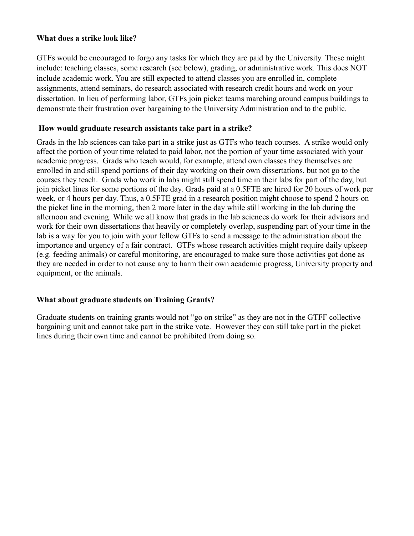### **What does a strike look like?**

GTFs would be encouraged to forgo any tasks for which they are paid by the University. These might include: teaching classes, some research (see below), grading, or administrative work. This does NOT include academic work. You are still expected to attend classes you are enrolled in, complete assignments, attend seminars, do research associated with research credit hours and work on your dissertation. In lieu of performing labor, GTFs join picket teams marching around campus buildings to demonstrate their frustration over bargaining to the University Administration and to the public.

### **How would graduate research assistants take part in a strike?**

Grads in the lab sciences can take part in a strike just as GTFs who teach courses. A strike would only affect the portion of your time related to paid labor, not the portion of your time associated with your academic progress. Grads who teach would, for example, attend own classes they themselves are enrolled in and still spend portions of their day working on their own dissertations, but not go to the courses they teach. Grads who work in labs might still spend time in their labs for part of the day, but join picket lines for some portions of the day. Grads paid at a 0.5FTE are hired for 20 hours of work per week, or 4 hours per day. Thus, a 0.5FTE grad in a research position might choose to spend 2 hours on the picket line in the morning, then 2 more later in the day while still working in the lab during the afternoon and evening. While we all know that grads in the lab sciences do work for their advisors and work for their own dissertations that heavily or completely overlap, suspending part of your time in the lab is a way for you to join with your fellow GTFs to send a message to the administration about the importance and urgency of a fair contract. GTFs whose research activities might require daily upkeep (e.g. feeding animals) or careful monitoring, are encouraged to make sure those activities got done as they are needed in order to not cause any to harm their own academic progress, University property and equipment, or the animals.

## **What about graduate students on Training Grants?**

Graduate students on training grants would not "go on strike" as they are not in the GTFF collective bargaining unit and cannot take part in the strike vote. However they can still take part in the picket lines during their own time and cannot be prohibited from doing so.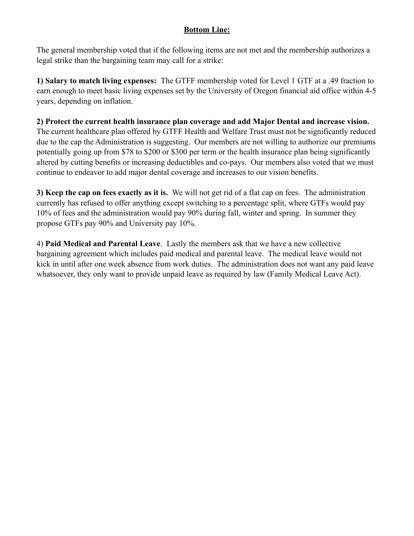# **Bottom Line:**

The general membership voted that if the following items are not met and the membership authorizes a legal strike than the bargaining team may call for a strike:

**1) Salary to match living expenses:** The GTFF membership voted for Level 1 GTF at a .49 fraction to earn enough to meet basic living expenses set by the University of Oregon financial aid office within 4-5 years, depending on inflation.

**2) Protect the current health insurance plan coverage and add Major Dental and increase vision.**  The current healthcare plan offered by GTFF Health and Welfare Trust must not be significantly reduced due to the cap the Administration is suggesting. Our members are not willing to authorize our premiums potentially going up from \$78 to \$200 or \$300 per term or the health insurance plan being significantly altered by cutting benefits or increasing deductibles and co-pays. Our members also voted that we must continue to endeavor to add major dental coverage and increases to our vision benefits.

**3) Keep the cap on fees exactly as it is.** We will not get rid of a flat cap on fees. The administration currently has refused to offer anything except switching to a percentage split, where GTFs would pay 10% of fees and the administration would pay 90% during fall, winter and spring. In summer they propose GTFs pay 90% and University pay 10%.

4) **Paid Medical and Parental Leave**. Lastly the members ask that we have a new collective bargaining agreement which includes paid medical and parental leave. The medical leave would not kick in until after one week absence from work duties. The administration does not want any paid leave whatsoever, they only want to provide unpaid leave as required by law (Family Medical Leave Act).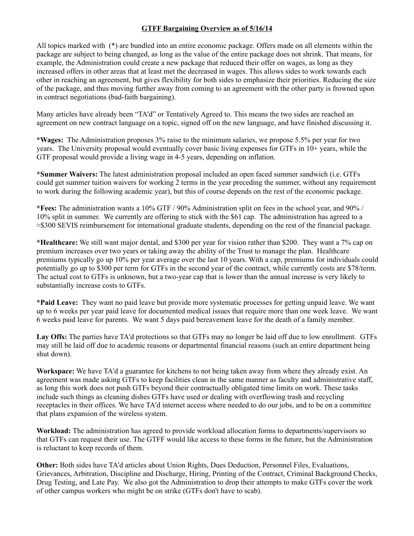#### **GTFF Bargaining Overview as of 5/16/14**

All topics marked with (\*) are bundled into an entire economic package. Offers made on all elements within the package are subject to being changed, as long as the value of the entire package does not shrink. That means, for example, the Administration could create a new package that reduced their offer on wages, as long as they increased offers in other areas that at least met the decreased in wages. This allows sides to work towards each other in reaching an agreement, but gives flexibility for both sides to emphasize their priorities. Reducing the size of the package, and thus moving further away from coming to an agreement with the other party is frowned upon in contract negotiations (bad-faith bargaining).

Many articles have already been "TA'd" or Tentatively Agreed to. This means the two sides are reached an agreement on new contract language on a topic, signed off on the new language, and have finished discussing it.

**\*Wages:** The Administration proposes 3% raise to the minimum salaries, we propose 5.5% per year for two years. The University proposal would eventually cover basic living expenses for GTFs in 10+ years, while the GTF proposal would provide a living wage in 4-5 years, depending on inflation.

**\*Summer Waivers:** The latest administration proposal included an open faced summer sandwich (i.e. GTFs could get summer tuition waivers for working 2 terms in the year preceding the summer, without any requirement to work during the following academic year), but this of course depends on the rest of the economic package.

**\*Fees:** The administration wants a 10% GTF / 90% Administration split on fees in the school year, and 90% / 10% split in summer. We currently are offering to stick with the \$61 cap. The administration has agreed to a ≈\$300 SEVIS reimbursement for international graduate students, depending on the rest of the financial package.

**\*Healthcare:** We still want major dental, and \$300 per year for vision rather than \$200. They want a 7% cap on premium increases over two years or taking away the ability of the Trust to manage the plan. Healthcare premiums typically go up 10% per year average over the last 10 years. With a cap, premiums for individuals could potentially go up to \$300 per term for GTFs in the second year of the contract, while currently costs are \$78/term. The actual cost to GTFs is unknown, but a two-year cap that is lower than the annual increase is very likely to substantially increase costs to GTFs.

**\*Paid Leave:** They want no paid leave but provide more systematic processes for getting unpaid leave. We want up to 6 weeks per year paid leave for documented medical issues that require more than one week leave. We want 6 weeks paid leave for parents. We want 5 days paid bereavement leave for the death of a family member.

**Lay Offs:** The parties have TA'd protections so that GTFs may no longer be laid off due to low enrollment. GTFs may still be laid off due to academic reasons or departmental financial reasons (such an entire department being shut down).

**Workspace:** We have TA'd a guarantee for kitchens to not being taken away from where they already exist. An agreement was made asking GTFs to keep facilities clean in the same manner as faculty and administrative staff, as long this work does not push GTFs beyond their contractually obligated time limits on work. These tasks include such things as cleaning dishes GTFs have used or dealing with overflowing trash and recycling receptacles in their offices. We have TA'd internet access where needed to do our jobs, and to be on a committee that plans expansion of the wireless system.

**Workload:** The administration has agreed to provide workload allocation forms to departments/supervisors so that GTFs can request their use. The GTFF would like access to these forms in the future, but the Administration is reluctant to keep records of them.

**Other:** Both sides have TA'd articles about Union Rights, Dues Deduction, Personnel Files, Evaluations, Grievances, Arbitration, Discipline and Discharge, Hiring, Printing of the Contract, Criminal Background Checks, Drug Testing, and Late Pay. We also got the Administration to drop their attempts to make GTFs cover the work of other campus workers who might be on strike (GTFs don't have to scab).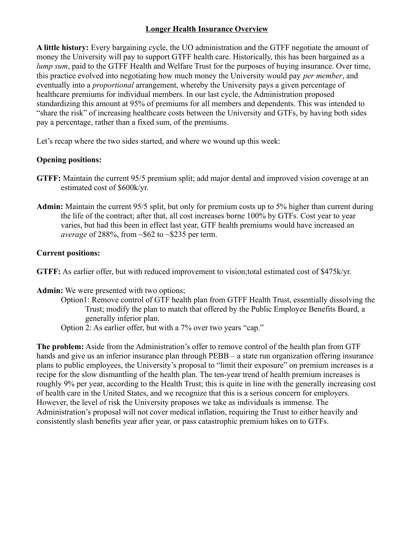## **Longer Health Insurance Overview**

**A little history:** Every bargaining cycle, the UO administration and the GTFF negotiate the amount of money the University will pay to support GTFF health care. Historically, this has been bargained as a *lump sum*, paid to the GTFF Health and Welfare Trust for the purposes of buying insurance. Over time, this practice evolved into negotiating how much money the University would pay *per member*, and eventually into a *proportional* arrangement, whereby the University pays a given percentage of healthcare premiums for individual members. In our last cycle, the Administration proposed standardizing this amount at 95% of premiums for all members and dependents. This was intended to "share the risk" of increasing healthcare costs between the University and GTFs, by having both sides pay a percentage, rather than a fixed sum, of the premiums.

Let's recap where the two sides started, and where we wound up this week:

## **Opening positions:**

- **GTFF:** Maintain the current 95/5 premium split; add major dental and improved vision coverage at an estimated cost of \$600k/yr.
- **Admin:** Maintain the current 95/5 split, but only for premium costs up to 5% higher than current during the life of the contract; after that, all cost increases borne 100% by GTFs. Cost year to year varies, but had this been in effect last year, GTF health premiums would have increased an *average* of 288%, from ~\$62 to ~\$235 per term.

## **Current positions:**

**GTFF:** As earlier offer, but with reduced improvement to vision;total estimated cost of \$475k/yr.

## **Admin:** We were presented with two options;

- Option1: Remove control of GTF health plan from GTFF Health Trust, essentially dissolving the Trust; modify the plan to match that offered by the Public Employee Benefits Board, a generally inferior plan.
- Option 2: As earlier offer, but with a 7% over two years "cap."

**The problem:** Aside from the Administration's offer to remove control of the health plan from GTF hands and give us an inferior insurance plan through PEBB – a state run organization offering insurance plans to public employees, the University's proposal to "limit their exposure" on premium increases is a recipe for the slow dismantling of the health plan. The ten-year trend of health premium increases is roughly 9% per year, according to the Health Trust; this is quite in line with the generally increasing cost of health care in the United States, and we recognize that this is a serious concern for employers. However, the level of risk the University proposes we take as individuals is immense. The Administration's proposal will not cover medical inflation, requiring the Trust to either heavily and consistently slash benefits year after year, or pass catastrophic premium hikes on to GTFs.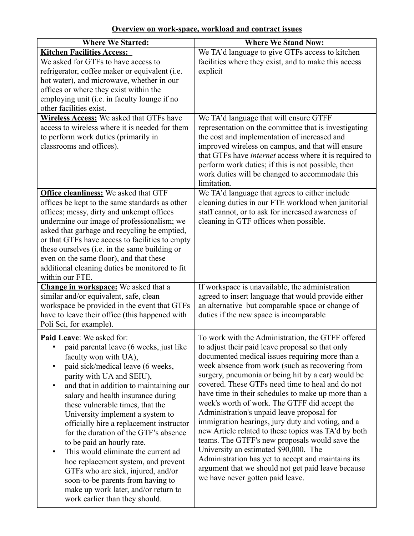**Overview on work-space, workload and contract issues**

| <b>Where We Started:</b>                                                                                                                                                                                                                                                                                                                                                                                                                                                                                                                                                                                                                                                                           | <b>Where We Stand Now:</b>                                                                                                                                                                                                                                                                                                                                                                                                                                                                                                                                                                                                                                                                                                                                                                                                          |
|----------------------------------------------------------------------------------------------------------------------------------------------------------------------------------------------------------------------------------------------------------------------------------------------------------------------------------------------------------------------------------------------------------------------------------------------------------------------------------------------------------------------------------------------------------------------------------------------------------------------------------------------------------------------------------------------------|-------------------------------------------------------------------------------------------------------------------------------------------------------------------------------------------------------------------------------------------------------------------------------------------------------------------------------------------------------------------------------------------------------------------------------------------------------------------------------------------------------------------------------------------------------------------------------------------------------------------------------------------------------------------------------------------------------------------------------------------------------------------------------------------------------------------------------------|
| <b>Kitchen Facilities Access:</b><br>We asked for GTFs to have access to<br>refrigerator, coffee maker or equivalent (i.e.<br>hot water), and microwave, whether in our<br>offices or where they exist within the<br>employing unit (i.e. in faculty lounge if no<br>other facilities exist.                                                                                                                                                                                                                                                                                                                                                                                                       | We TA'd language to give GTFs access to kitchen<br>facilities where they exist, and to make this access<br>explicit                                                                                                                                                                                                                                                                                                                                                                                                                                                                                                                                                                                                                                                                                                                 |
| <b>Wireless Access:</b> We asked that GTFs have<br>access to wireless where it is needed for them<br>to perform work duties (primarily in<br>classrooms and offices).                                                                                                                                                                                                                                                                                                                                                                                                                                                                                                                              | We TA'd language that will ensure GTFF<br>representation on the committee that is investigating<br>the cost and implementation of increased and<br>improved wireless on campus, and that will ensure<br>that GTFs have internet access where it is required to<br>perform work duties; if this is not possible, then<br>work duties will be changed to accommodate this<br>limitation.                                                                                                                                                                                                                                                                                                                                                                                                                                              |
| <b>Office cleanliness:</b> We asked that GTF<br>offices be kept to the same standards as other<br>offices; messy, dirty and unkempt offices<br>undermine our image of professionalism; we<br>asked that garbage and recycling be emptied,<br>or that GTFs have access to facilities to empty<br>these ourselves (i.e. in the same building or<br>even on the same floor), and that these<br>additional cleaning duties be monitored to fit<br>within our FTE.                                                                                                                                                                                                                                      | We TA'd language that agrees to either include<br>cleaning duties in our FTE workload when janitorial<br>staff cannot, or to ask for increased awareness of<br>cleaning in GTF offices when possible.                                                                                                                                                                                                                                                                                                                                                                                                                                                                                                                                                                                                                               |
| Change in workspace: We asked that a<br>similar and/or equivalent, safe, clean<br>workspace be provided in the event that GTFs<br>have to leave their office (this happened with<br>Poli Sci, for example).                                                                                                                                                                                                                                                                                                                                                                                                                                                                                        | If workspace is unavailable, the administration<br>agreed to insert language that would provide either<br>an alternative but comparable space or change of<br>duties if the new space is incomparable                                                                                                                                                                                                                                                                                                                                                                                                                                                                                                                                                                                                                               |
| <b>Paid Leave:</b> We asked for:<br>paid parental leave (6 weeks, just like<br>faculty won with UA),<br>paid sick/medical leave (6 weeks,<br>parity with UA and SEIU),<br>and that in addition to maintaining our<br>salary and health insurance during<br>these vulnerable times, that the<br>University implement a system to<br>officially hire a replacement instructor<br>for the duration of the GTF's absence<br>to be paid an hourly rate.<br>This would eliminate the current ad<br>$\bullet$<br>hoc replacement system, and prevent<br>GTFs who are sick, injured, and/or<br>soon-to-be parents from having to<br>make up work later, and/or return to<br>work earlier than they should. | To work with the Administration, the GTFF offered<br>to adjust their paid leave proposal so that only<br>documented medical issues requiring more than a<br>week absence from work (such as recovering from<br>surgery, pneumonia or being hit by a car) would be<br>covered. These GTFs need time to heal and do not<br>have time in their schedules to make up more than a<br>week's worth of work. The GTFF did accept the<br>Administration's unpaid leave proposal for<br>immigration hearings, jury duty and voting, and a<br>new Article related to these topics was TA'd by both<br>teams. The GTFF's new proposals would save the<br>University an estimated \$90,000. The<br>Administration has yet to accept and maintains its<br>argument that we should not get paid leave because<br>we have never gotten paid leave. |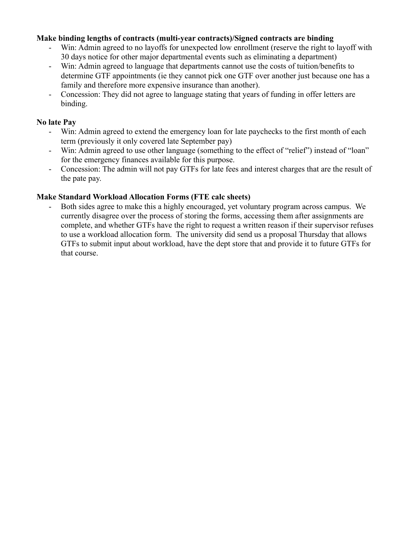### **Make binding lengths of contracts (multi-year contracts)/Signed contracts are binding**

- Win: Admin agreed to no layoffs for unexpected low enrollment (reserve the right to layoff with 30 days notice for other major departmental events such as eliminating a department)
- Win: Admin agreed to language that departments cannot use the costs of tuition/benefits to determine GTF appointments (ie they cannot pick one GTF over another just because one has a family and therefore more expensive insurance than another).
- Concession: They did not agree to language stating that years of funding in offer letters are binding.

#### **No late Pay**

- Win: Admin agreed to extend the emergency loan for late paychecks to the first month of each term (previously it only covered late September pay)
- Win: Admin agreed to use other language (something to the effect of "relief") instead of "loan" for the emergency finances available for this purpose.
- Concession: The admin will not pay GTFs for late fees and interest charges that are the result of the pate pay.

### **Make Standard Workload Allocation Forms (FTE calc sheets)**

Both sides agree to make this a highly encouraged, yet voluntary program across campus. We currently disagree over the process of storing the forms, accessing them after assignments are complete, and whether GTFs have the right to request a written reason if their supervisor refuses to use a workload allocation form. The university did send us a proposal Thursday that allows GTFs to submit input about workload, have the dept store that and provide it to future GTFs for that course.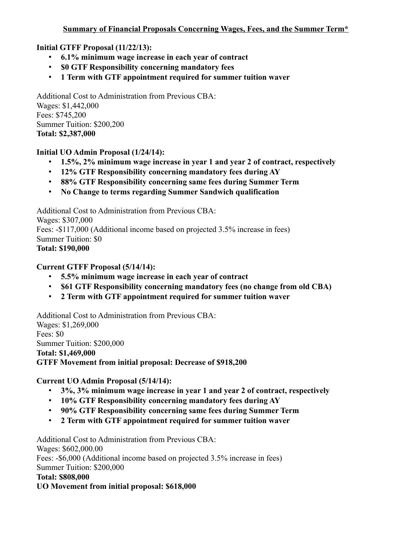# **Initial GTFF Proposal (11/22/13):**

- **6.1% minimum wage increase in each year of contract**
- **\$0 GTF Responsibility concerning mandatory fees**
- **1 Term with GTF appointment required for summer tuition waver**

Additional Cost to Administration from Previous CBA: Wages: \$1,442,000 Fees: \$745,200 Summer Tuition: \$200,200 **Total: \$2,387,000**

## **Initial UO Admin Proposal (1/24/14):**

- **1.5%, 2% minimum wage increase in year 1 and year 2 of contract, respectively**
- **12% GTF Responsibility concerning mandatory fees during AY**
- **88% GTF Responsibility concerning same fees during Summer Term**
- **No Change to terms regarding Summer Sandwich qualification**

Additional Cost to Administration from Previous CBA: Wages: \$307,000 Fees: -\$117,000 (Additional income based on projected 3.5% increase in fees) Summer Tuition: \$0 **Total: \$190,000**

## **Current GTFF Proposal (5/14/14):**

- **5.5% minimum wage increase in each year of contract**
- **\$61 GTF Responsibility concerning mandatory fees (no change from old CBA)**
- **2 Term with GTF appointment required for summer tuition waver**

Additional Cost to Administration from Previous CBA: Wages: \$1,269,000 Fees: \$0 Summer Tuition: \$200,000 **Total: \$1,469,000 GTFF Movement from initial proposal: Decrease of \$918,200**

# **Current UO Admin Proposal (5/14/14):**

- **3%, 3% minimum wage increase in year 1 and year 2 of contract, respectively**
- **10% GTF Responsibility concerning mandatory fees during AY**
- **90% GTF Responsibility concerning same fees during Summer Term**
- **2 Term with GTF appointment required for summer tuition waver**

Additional Cost to Administration from Previous CBA:

Wages: \$602,000.00

Fees: -\$6,000 (Additional income based on projected 3.5% increase in fees)

Summer Tuition: \$200,000

## **Total: \$808,000**

**UO Movement from initial proposal: \$618,000**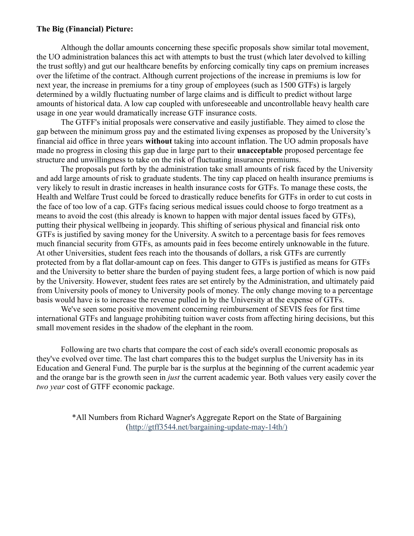#### **The Big (Financial) Picture:**

Although the dollar amounts concerning these specific proposals show similar total movement, the UO administration balances this act with attempts to bust the trust (which later devolved to killing the trust softly) and gut our healthcare benefits by enforcing comically tiny caps on premium increases over the lifetime of the contract. Although current projections of the increase in premiums is low for next year, the increase in premiums for a tiny group of employees (such as 1500 GTFs) is largely determined by a wildly fluctuating number of large claims and is difficult to predict without large amounts of historical data. A low cap coupled with unforeseeable and uncontrollable heavy health care usage in one year would dramatically increase GTF insurance costs.

The GTFF's initial proposals were conservative and easily justifiable. They aimed to close the gap between the minimum gross pay and the estimated living expenses as proposed by the University's financial aid office in three years **without** taking into account inflation. The UO admin proposals have made no progress in closing this gap due in large part to their **unacceptable** proposed percentage fee structure and unwillingness to take on the risk of fluctuating insurance premiums.

The proposals put forth by the administration take small amounts of risk faced by the University and add large amounts of risk to graduate students. The tiny cap placed on health insurance premiums is very likely to result in drastic increases in health insurance costs for GTFs. To manage these costs, the Health and Welfare Trust could be forced to drastically reduce benefits for GTFs in order to cut costs in the face of too low of a cap. GTFs facing serious medical issues could choose to forgo treatment as a means to avoid the cost (this already is known to happen with major dental issues faced by GTFs), putting their physical wellbeing in jeopardy. This shifting of serious physical and financial risk onto GTFs is justified by saving money for the University. A switch to a percentage basis for fees removes much financial security from GTFs, as amounts paid in fees become entirely unknowable in the future. At other Universities, student fees reach into the thousands of dollars, a risk GTFs are currently protected from by a flat dollar-amount cap on fees. This danger to GTFs is justified as means for GTFs and the University to better share the burden of paying student fees, a large portion of which is now paid by the University. However, student fees rates are set entirely by the Administration, and ultimately paid from University pools of money to University pools of money. The only change moving to a percentage basis would have is to increase the revenue pulled in by the University at the expense of GTFs.

We've seen some positive movement concerning reimbursement of SEVIS fees for first time international GTFs and language prohibiting tuition waver costs from affecting hiring decisions, but this small movement resides in the shadow of the elephant in the room.

Following are two charts that compare the cost of each side's overall economic proposals as they've evolved over time. The last chart compares this to the budget surplus the University has in its Education and General Fund. The purple bar is the surplus at the beginning of the current academic year and the orange bar is the growth seen in *just* the current academic year. Both values very easily cover the *two year* cost of GTFF economic package.

> \*All Numbers from Richard Wagner's Aggregate Report on the State of Bargaining (http://gtff3544.net/bargaining-update-may-14th/)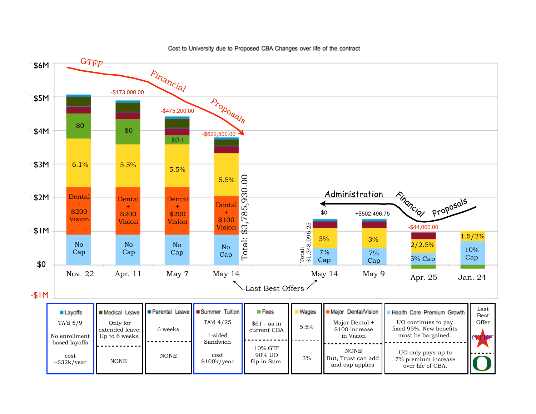

90% UO flip in Sum.

NONE

cost \$100k/year

NONE

cost ~\$32k/year

3%

NONE But, Trust can add and cap applies

UO only pays up to 7% premium increase over life of CBA.

#### Cost to University due to Proposed CBA Changes over life of the contract